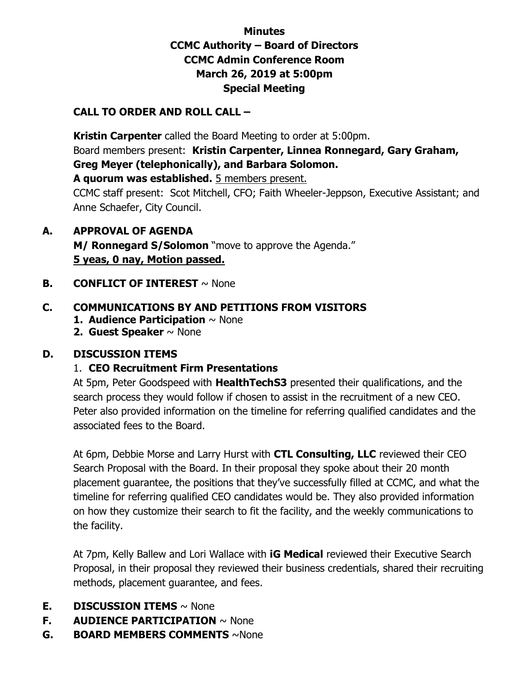# **Minutes CCMC Authority – Board of Directors CCMC Admin Conference Room March 26, 2019 at 5:00pm Special Meeting**

### **CALL TO ORDER AND ROLL CALL –**

 **Kristin Carpenter** called the Board Meeting to order at 5:00pm. Board members present: **Kristin Carpenter, Linnea Ronnegard, Gary Graham, Greg Meyer (telephonically), and Barbara Solomon. A quorum was established.** 5 members present.

CCMC staff present: Scot Mitchell, CFO; Faith Wheeler-Jeppson, Executive Assistant; and Anne Schaefer, City Council.

- **A. APPROVAL OF AGENDA M/ Ronnegard S/Solomon** "move to approve the Agenda." **5 yeas, 0 nay, Motion passed.**
- **B. CONFLICT OF INTEREST**  $\sim$  None

# **C. COMMUNICATIONS BY AND PETITIONS FROM VISITORS**

- **1. Audience Participation** ~ None
- **2. Guest Speaker** ~ None

#### **D. DISCUSSION ITEMS**

#### 1. **CEO Recruitment Firm Presentations**

At 5pm, Peter Goodspeed with **HealthTechS3** presented their qualifications, and the search process they would follow if chosen to assist in the recruitment of a new CEO. Peter also provided information on the timeline for referring qualified candidates and the associated fees to the Board.

At 6pm, Debbie Morse and Larry Hurst with **CTL Consulting, LLC** reviewed their CEO Search Proposal with the Board. In their proposal they spoke about their 20 month placement guarantee, the positions that they've successfully filled at CCMC, and what the timeline for referring qualified CEO candidates would be. They also provided information on how they customize their search to fit the facility, and the weekly communications to the facility.

At 7pm, Kelly Ballew and Lori Wallace with **iG Medical** reviewed their Executive Search Proposal, in their proposal they reviewed their business credentials, shared their recruiting methods, placement guarantee, and fees.

- **E. DISCUSSION ITEMS** ~ None
- **F. AUDIENCE PARTICIPATION** ~ None
- **G. BOARD MEMBERS COMMENTS** ~None